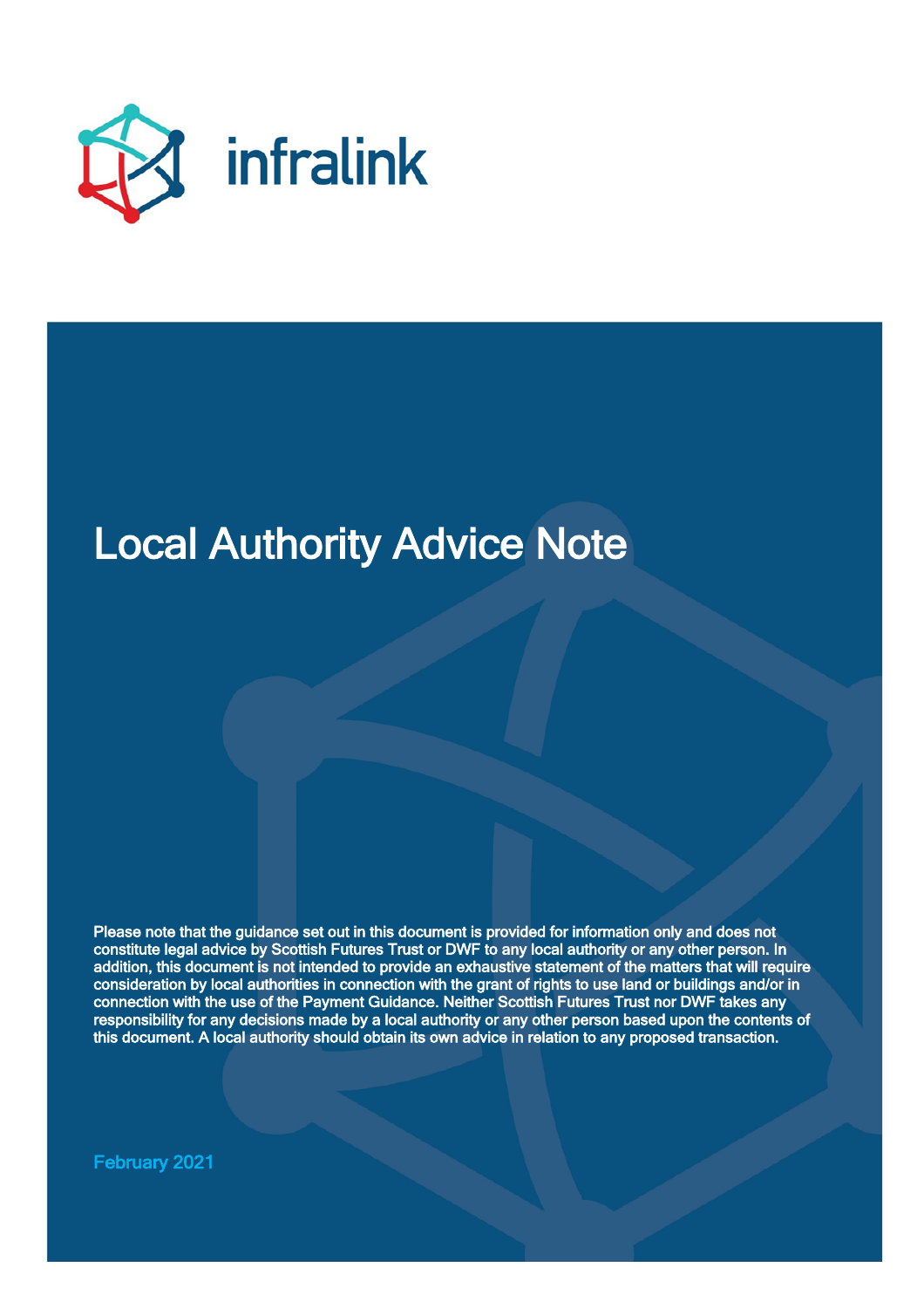

# Local Authority Advice Note

Please note that the guidance set out in this document is provided for information only and does not constitute legal advice by Scottish Futures Trust or DWF to any local authority or any other person. In addition, this document is not intended to provide an exhaustive statement of the matters that will require consideration by local authorities in connection with the grant of rights to use land or buildings and/or in connection with the use of the Payment Guidance. Neither Scottish Futures Trust nor DWF takes any responsibility for any decisions made by a local authority or any other person based upon the contents of this document. A local authority should obtain its own advice in relation to any proposed transaction.

February 2021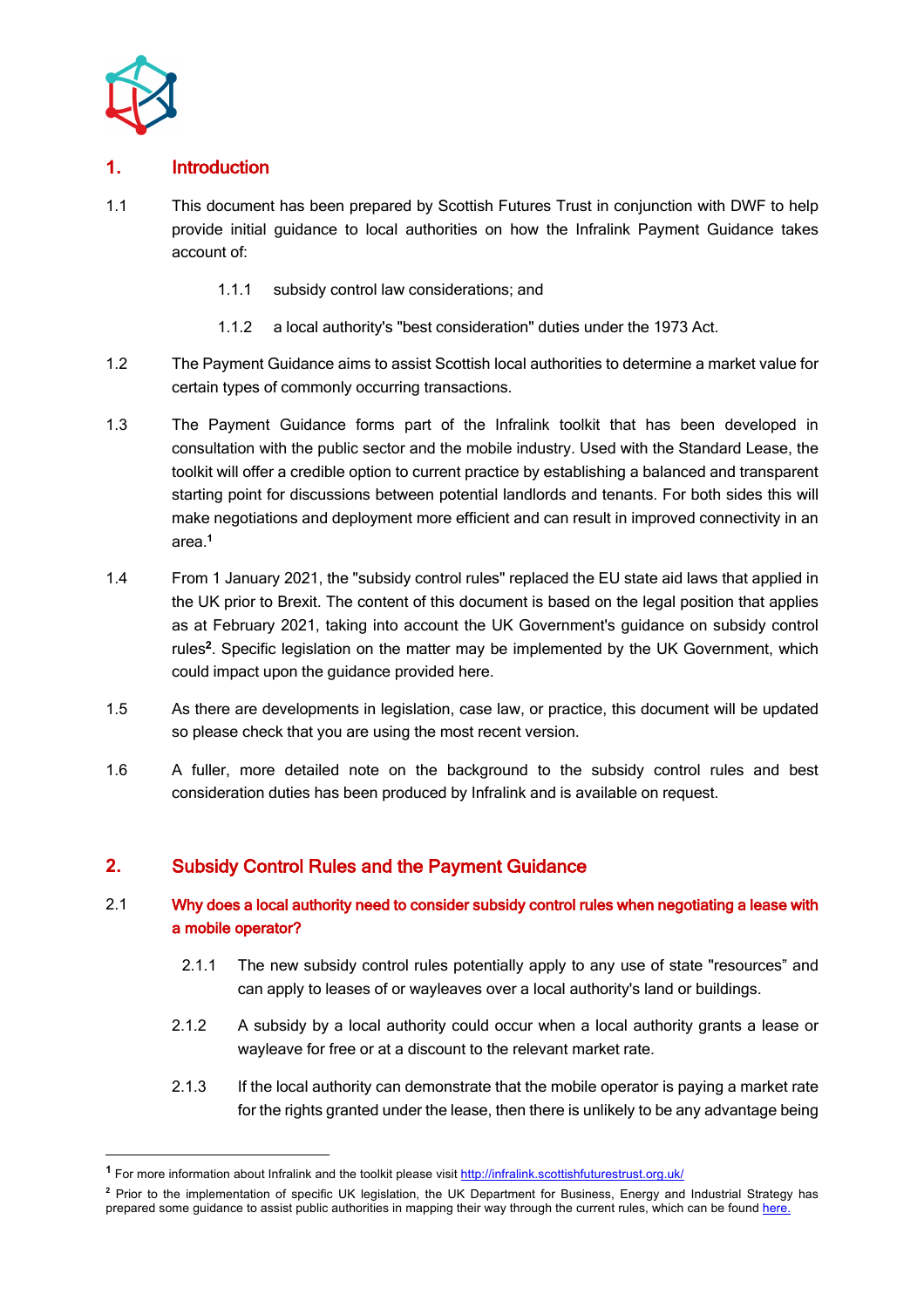

## **1.** Introduction

- 1.1 This document has been prepared by Scottish Futures Trust in conjunction with DWF to help provide initial guidance to local authorities on how the Infralink Payment Guidance takes account of:
	- 1.1.1 subsidy control law considerations; and
	- 1.1.2 a local authority's "best consideration" duties under the 1973 Act.
- 1.2 The Payment Guidance aims to assist Scottish local authorities to determine a market value for certain types of commonly occurring transactions.
- 1.3 The Payment Guidance forms part of the Infralink toolkit that has been developed in consultation with the public sector and the mobile industry. Used with the Standard Lease, the toolkit will offer a credible option to current practice by establishing a balanced and transparent starting point for discussions between potential landlords and tenants. For both sides this will make negotiations and deployment more efficient and can result in improved connectivity in an area.**<sup>1</sup>**
- 1.4 From 1 January 2021, the "subsidy control rules" replaced the EU state aid laws that applied in the UK prior to Brexit. The content of this document is based on the legal position that applies as at February 2021, taking into account the UK Government's guidance on subsidy control rules<sup>2</sup>. Specific legislation on the matter may be implemented by the UK Government, which could impact upon the guidance provided here.
- 1.5 As there are developments in legislation, case law, or practice, this document will be updated so please check that you are using the most recent version.
- 1.6 A fuller, more detailed note on the background to the subsidy control rules and best consideration duties has been produced by Infralink and is available on request.

## **2.** Subsidy Control Rules and the Payment Guidance

## 2.1 Why does a local authority need to consider subsidy control rules when negotiating a lease with a mobile operator?

- 2.1.1 The new subsidy control rules potentially apply to any use of state "resources" and can apply to leases of or wayleaves over a local authority's land or buildings.
- 2.1.2 A subsidy by a local authority could occur when a local authority grants a lease or wayleave for free or at a discount to the relevant market rate.
- 2.1.3 If the local authority can demonstrate that the mobile operator is paying a market rate for the rights granted under the lease, then there is unlikely to be any advantage being

<sup>&</sup>lt;sup>1</sup> For more information about Infralink and the toolkit please visit http://infralink.scottishfuturestrust.org.uk/

**<sup>2</sup>** Prior to the implementation of specific UK legislation, the UK Department for Business, Energy and Industrial Strategy has prepared some guidance to assist public authorities in mapping their way through the current rules, which can be found here.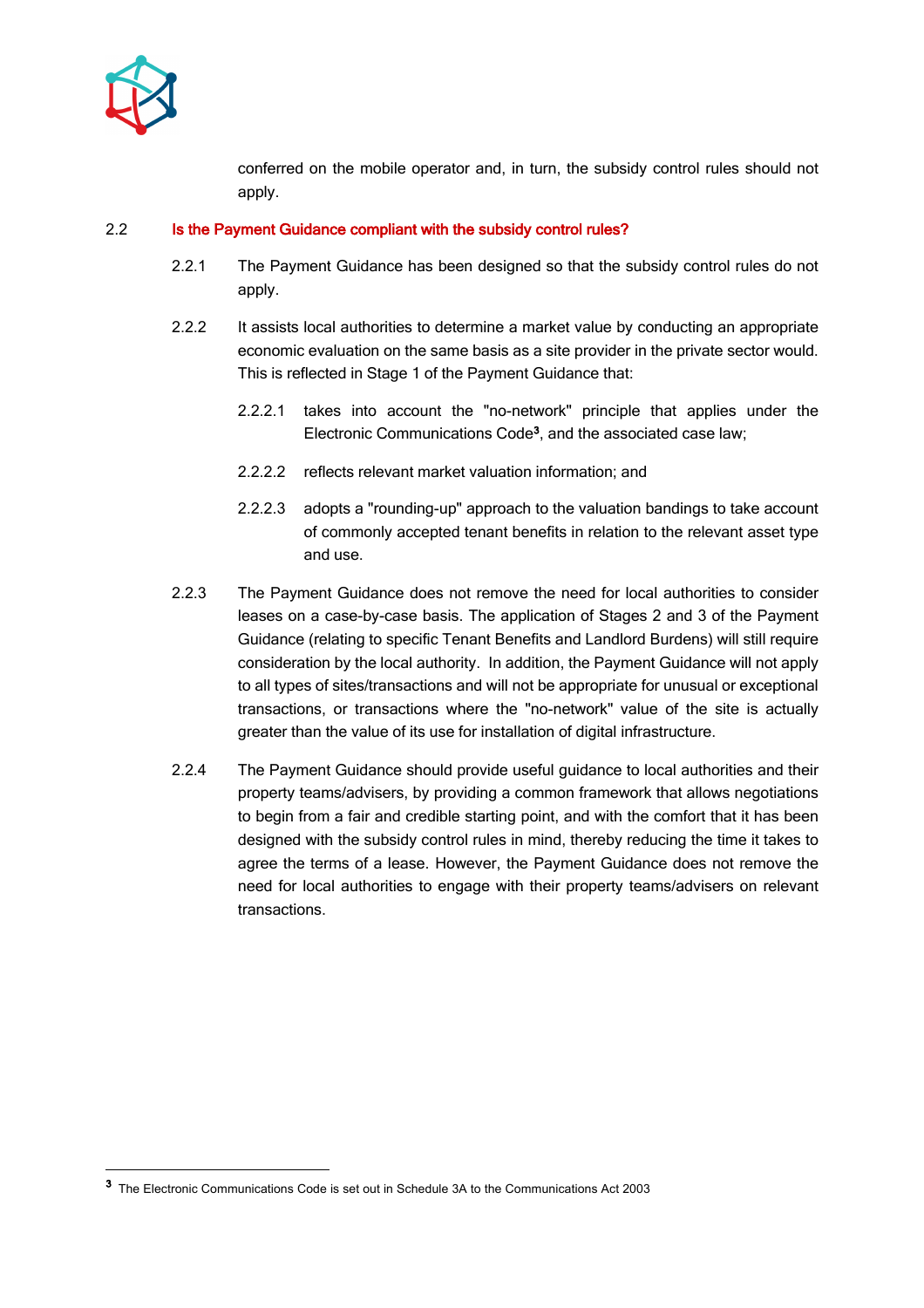

conferred on the mobile operator and, in turn, the subsidy control rules should not apply.

#### 2.2 Is the Payment Guidance compliant with the subsidy control rules?

- 2.2.1 The Payment Guidance has been designed so that the subsidy control rules do not apply.
- 2.2.2 It assists local authorities to determine a market value by conducting an appropriate economic evaluation on the same basis as a site provider in the private sector would. This is reflected in Stage 1 of the Payment Guidance that:
	- 2.2.2.1 takes into account the "no-network" principle that applies under the Electronic Communications Code<sup>3</sup>, and the associated case law;
	- 2.2.2.2 reflects relevant market valuation information; and
	- 2.2.2.3 adopts a "rounding-up" approach to the valuation bandings to take account of commonly accepted tenant benefits in relation to the relevant asset type and use.
- 2.2.3 The Payment Guidance does not remove the need for local authorities to consider leases on a case-by-case basis. The application of Stages 2 and 3 of the Payment Guidance (relating to specific Tenant Benefits and Landlord Burdens) will still require consideration by the local authority. In addition, the Payment Guidance will not apply to all types of sites/transactions and will not be appropriate for unusual or exceptional transactions, or transactions where the "no-network" value of the site is actually greater than the value of its use for installation of digital infrastructure.
- 2.2.4 The Payment Guidance should provide useful guidance to local authorities and their property teams/advisers, by providing a common framework that allows negotiations to begin from a fair and credible starting point, and with the comfort that it has been designed with the subsidy control rules in mind, thereby reducing the time it takes to agree the terms of a lease. However, the Payment Guidance does not remove the need for local authorities to engage with their property teams/advisers on relevant transactions.

<sup>3</sup> The Electronic Communications Code is set out in Schedule 3A to the Communications Act 2003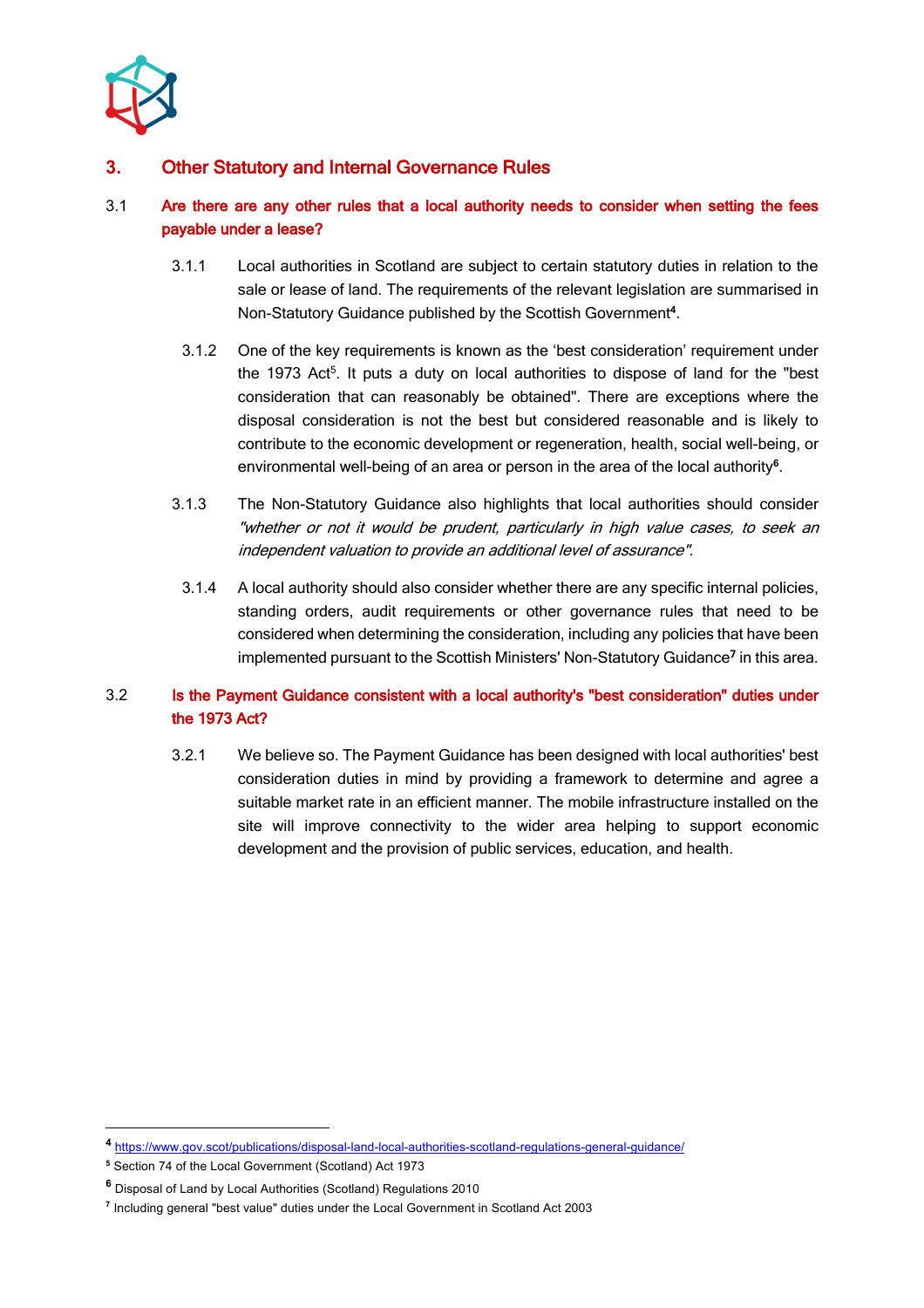

## **3.** Other Statutory and Internal Governance Rules

#### 3.1 Are there are any other rules that a local authority needs to consider when setting the fees payable under a lease?

- 3.1.1 Local authorities in Scotland are subject to certain statutory duties in relation to the sale or lease of land. The requirements of the relevant legislation are summarised in Non-Statutory Guidance published by the Scottish Government**<sup>4</sup>** .
	- 3.1.2 One of the key requirements is known as the 'best consideration' requirement under the 1973 Act<sup>5</sup>. It puts a duty on local authorities to dispose of land for the "best consideration that can reasonably be obtained". There are exceptions where the disposal consideration is not the best but considered reasonable and is likely to contribute to the economic development or regeneration, health, social well-being, or environmental well-being of an area or person in the area of the local authority**<sup>6</sup>** .
- 3.1.3 The Non-Statutory Guidance also highlights that local authorities should consider "whether or not it would be prudent, particularly in high value cases, to seek an independent valuation to provide an additional level of assurance".
- 3.1.4 A local authority should also consider whether there are any specific internal policies, standing orders, audit requirements or other governance rules that need to be considered when determining the consideration, including any policies that have been implemented pursuant to the Scottish Ministers' Non-Statutory Guidance<sup>7</sup> in this area.

## 3.2 Is the Payment Guidance consistent with a local authority's "best consideration" duties under the 1973 Act?

3.2.1 We believe so. The Payment Guidance has been designed with local authorities' best consideration duties in mind by providing a framework to determine and agree a suitable market rate in an efficient manner. The mobile infrastructure installed on the site will improve connectivity to the wider area helping to support economic development and the provision of public services, education, and health.

**<sup>4</sup>** https://www.gov.scot/publications/disposal-land-local-authorities-scotland-regulations-general-guidance/

**<sup>5</sup>** Section 74 of the Local Government (Scotland) Act 1973

**<sup>6</sup>** Disposal of Land by Local Authorities (Scotland) Regulations 2010

**<sup>7</sup>** Including general "best value" duties under the Local Government in Scotland Act 2003